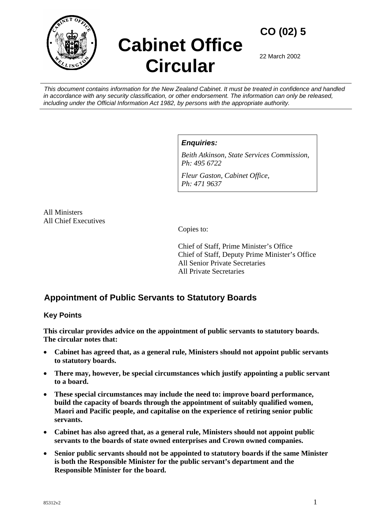

# **Cabinet Office Circular**

**CO (02) 5** 

22 March 2002

*This document contains information for the New Zealand Cabinet. It must be treated in confidence and handled in accordance with any security classification, or other endorsement. The information can only be released, including under the Official Information Act 1982, by persons with the appropriate authority.* 

*Enquiries:* 

*Beith Atkinson, State Services Commission, Ph: 495 6722* 

*Fleur Gaston, Cabinet Office, Ph: 471 9637* 

All Ministers All Chief Executives

Copies to:

Chief of Staff, Prime Minister's Office Chief of Staff, Deputy Prime Minister's Office All Senior Private Secretaries All Private Secretaries

# **Appointment of Public Servants to Statutory Boards**

# **Key Points**

**This circular provides advice on the appointment of public servants to statutory boards. The circular notes that:** 

- **Cabinet has agreed that, as a general rule, Ministers should not appoint public servants to statutory boards.**
- **There may, however, be special circumstances which justify appointing a public servant to a board.**
- **These special circumstances may include the need to: improve board performance, build the capacity of boards through the appointment of suitably qualified women, Maori and Pacific people, and capitalise on the experience of retiring senior public servants.**
- **Cabinet has also agreed that, as a general rule, Ministers should not appoint public servants to the boards of state owned enterprises and Crown owned companies.**
- **Senior public servants should not be appointed to statutory boards if the same Minister is both the Responsible Minister for the public servant's department and the Responsible Minister for the board.**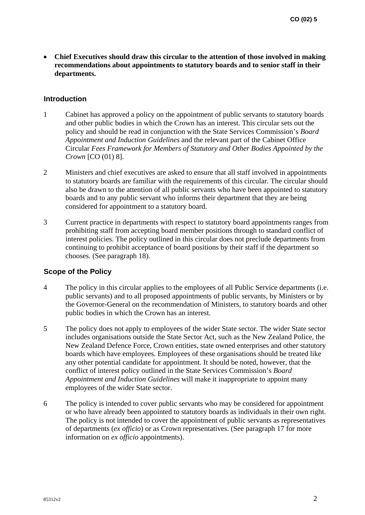• **Chief Executives should draw this circular to the attention of those involved in making recommendations about appointments to statutory boards and to senior staff in their departments.** 

#### **Introduction**

- 1 Cabinet has approved a policy on the appointment of public servants to statutory boards and other public bodies in which the Crown has an interest. This circular sets out the policy and should be read in conjunction with the State Services Commission's *Board Appointment and Induction Guidelines* and the relevant part of the Cabinet Office Circular *Fees Framework for Members of Statutory and Other Bodies Appointed by the Crown* [CO (01) 8].
- 2 Ministers and chief executives are asked to ensure that all staff involved in appointments to statutory boards are familiar with the requirements of this circular. The circular should also be drawn to the attention of all public servants who have been appointed to statutory boards and to any public servant who informs their department that they are being considered for appointment to a statutory board.
- 3 Current practice in departments with respect to statutory board appointments ranges from prohibiting staff from accepting board member positions through to standard conflict of interest policies. The policy outlined in this circular does not preclude departments from continuing to prohibit acceptance of board positions by their staff if the department so chooses. (See paragraph 18).

#### **Scope of the Policy**

- 4 The policy in this circular applies to the employees of all Public Service departments (i.e. public servants) and to all proposed appointments of public servants, by Ministers or by the Governor-General on the recommendation of Ministers, to statutory boards and other public bodies in which the Crown has an interest.
- 5 The policy does not apply to employees of the wider State sector. The wider State sector includes organisations outside the State Sector Act, such as the New Zealand Police, the New Zealand Defence Force, Crown entities, state owned enterprises and other statutory boards which have employees. Employees of these organisations should be treated like any other potential candidate for appointment. It should be noted, however, that the conflict of interest policy outlined in the State Services Commission's *Board Appointment and Induction Guidelines* will make it inappropriate to appoint many employees of the wider State sector.
- 6 The policy is intended to cover public servants who may be considered for appointment or who have already been appointed to statutory boards as individuals in their own right. The policy is not intended to cover the appointment of public servants as representatives of departments (*ex officio*) or as Crown representatives. (See paragraph 17 for more information on *ex officio* appointments).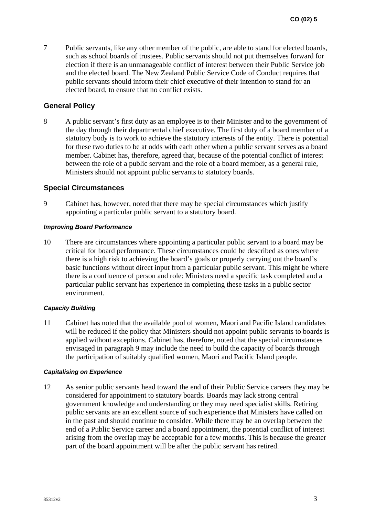7 Public servants, like any other member of the public, are able to stand for elected boards, such as school boards of trustees. Public servants should not put themselves forward for election if there is an unmanageable conflict of interest between their Public Service job and the elected board. The New Zealand Public Service Code of Conduct requires that public servants should inform their chief executive of their intention to stand for an elected board, to ensure that no conflict exists.

# **General Policy**

8 A public servant's first duty as an employee is to their Minister and to the government of the day through their departmental chief executive. The first duty of a board member of a statutory body is to work to achieve the statutory interests of the entity. There is potential for these two duties to be at odds with each other when a public servant serves as a board member. Cabinet has, therefore, agreed that, because of the potential conflict of interest between the role of a public servant and the role of a board member, as a general rule, Ministers should not appoint public servants to statutory boards.

# **Special Circumstances**

9 Cabinet has, however, noted that there may be special circumstances which justify appointing a particular public servant to a statutory board.

#### *Improving Board Performance*

10 There are circumstances where appointing a particular public servant to a board may be critical for board performance. These circumstances could be described as ones where there is a high risk to achieving the board's goals or properly carrying out the board's basic functions without direct input from a particular public servant. This might be where there is a confluence of person and role: Ministers need a specific task completed and a particular public servant has experience in completing these tasks in a public sector environment.

# *Capacity Building*

11 Cabinet has noted that the available pool of women, Maori and Pacific Island candidates will be reduced if the policy that Ministers should not appoint public servants to boards is applied without exceptions. Cabinet has, therefore, noted that the special circumstances envisaged in paragraph 9 may include the need to build the capacity of boards through the participation of suitably qualified women, Maori and Pacific Island people.

#### *Capitalising on Experience*

12 As senior public servants head toward the end of their Public Service careers they may be considered for appointment to statutory boards. Boards may lack strong central government knowledge and understanding or they may need specialist skills. Retiring public servants are an excellent source of such experience that Ministers have called on in the past and should continue to consider. While there may be an overlap between the end of a Public Service career and a board appointment, the potential conflict of interest arising from the overlap may be acceptable for a few months. This is because the greater part of the board appointment will be after the public servant has retired.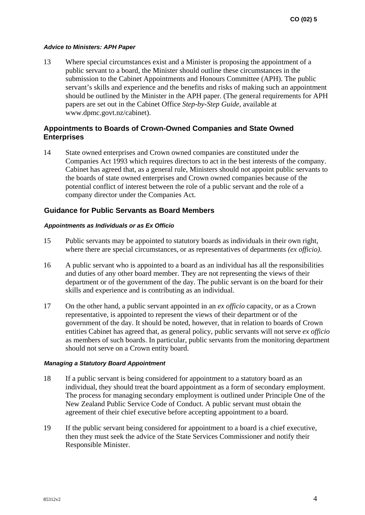#### *Advice to Ministers: APH Paper*

13 Where special circumstances exist and a Minister is proposing the appointment of a public servant to a board, the Minister should outline these circumstances in the submission to the Cabinet Appointments and Honours Committee (APH). The public servant's skills and experience and the benefits and risks of making such an appointment should be outlined by the Minister in the APH paper. (The general requirements for APH papers are set out in the Cabinet Office *Step-by-Step Guide*, available at www.dpmc.govt.nz/cabinet).

# **Appointments to Boards of Crown-Owned Companies and State Owned Enterprises**

14 State owned enterprises and Crown owned companies are constituted under the Companies Act 1993 which requires directors to act in the best interests of the company. Cabinet has agreed that, as a general rule, Ministers should not appoint public servants to the boards of state owned enterprises and Crown owned companies because of the potential conflict of interest between the role of a public servant and the role of a company director under the Companies Act.

# **Guidance for Public Servants as Board Members**

#### *Appointments as Individuals or as Ex Officio*

- 15 Public servants may be appointed to statutory boards as individuals in their own right, where there are special circumstances, or as representatives of departments *(ex officio)*.
- 16 A public servant who is appointed to a board as an individual has all the responsibilities and duties of any other board member. They are not representing the views of their department or of the government of the day. The public servant is on the board for their skills and experience and is contributing as an individual.
- 17 On the other hand, a public servant appointed in an *ex officio* capacity, or as a Crown representative, is appointed to represent the views of their department or of the government of the day. It should be noted, however, that in relation to boards of Crown entities Cabinet has agreed that, as general policy, public servants will not serve *ex officio* as members of such boards. In particular, public servants from the monitoring department should not serve on a Crown entity board.

#### *Managing a Statutory Board Appointment*

- 18 If a public servant is being considered for appointment to a statutory board as an individual, they should treat the board appointment as a form of secondary employment. The process for managing secondary employment is outlined under Principle One of the New Zealand Public Service Code of Conduct. A public servant must obtain the agreement of their chief executive before accepting appointment to a board.
- 19 If the public servant being considered for appointment to a board is a chief executive, then they must seek the advice of the State Services Commissioner and notify their Responsible Minister.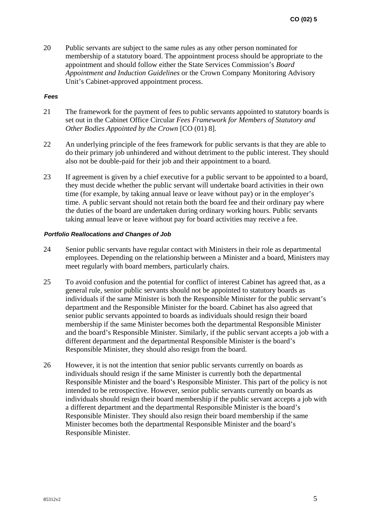20 Public servants are subject to the same rules as any other person nominated for membership of a statutory board. The appointment process should be appropriate to the appointment and should follow either the State Services Commission's *Board Appointment and Induction Guidelines* or the Crown Company Monitoring Advisory Unit's Cabinet-approved appointment process.

#### *Fees*

- 21 The framework for the payment of fees to public servants appointed to statutory boards is set out in the Cabinet Office Circular *Fees Framework for Members of Statutory and Other Bodies Appointed by the Crown* [CO (01) 8].
- 22 An underlying principle of the fees framework for public servants is that they are able to do their primary job unhindered and without detriment to the public interest. They should also not be double-paid for their job and their appointment to a board.
- 23 If agreement is given by a chief executive for a public servant to be appointed to a board, they must decide whether the public servant will undertake board activities in their own time (for example, by taking annual leave or leave without pay) or in the employer's time. A public servant should not retain both the board fee and their ordinary pay where the duties of the board are undertaken during ordinary working hours. Public servants taking annual leave or leave without pay for board activities may receive a fee.

#### *Portfolio Reallocations and Changes of Job*

- 24 Senior public servants have regular contact with Ministers in their role as departmental employees. Depending on the relationship between a Minister and a board, Ministers may meet regularly with board members, particularly chairs.
- 25 To avoid confusion and the potential for conflict of interest Cabinet has agreed that, as a general rule, senior public servants should not be appointed to statutory boards as individuals if the same Minister is both the Responsible Minister for the public servant's department and the Responsible Minister for the board. Cabinet has also agreed that senior public servants appointed to boards as individuals should resign their board membership if the same Minister becomes both the departmental Responsible Minister and the board's Responsible Minister. Similarly, if the public servant accepts a job with a different department and the departmental Responsible Minister is the board's Responsible Minister, they should also resign from the board.
- 26 However, it is not the intention that senior public servants currently on boards as individuals should resign if the same Minister is currently both the departmental Responsible Minister and the board's Responsible Minister. This part of the policy is not intended to be retrospective. However, senior public servants currently on boards as individuals should resign their board membership if the public servant accepts a job with a different department and the departmental Responsible Minister is the board's Responsible Minister. They should also resign their board membership if the same Minister becomes both the departmental Responsible Minister and the board's Responsible Minister.